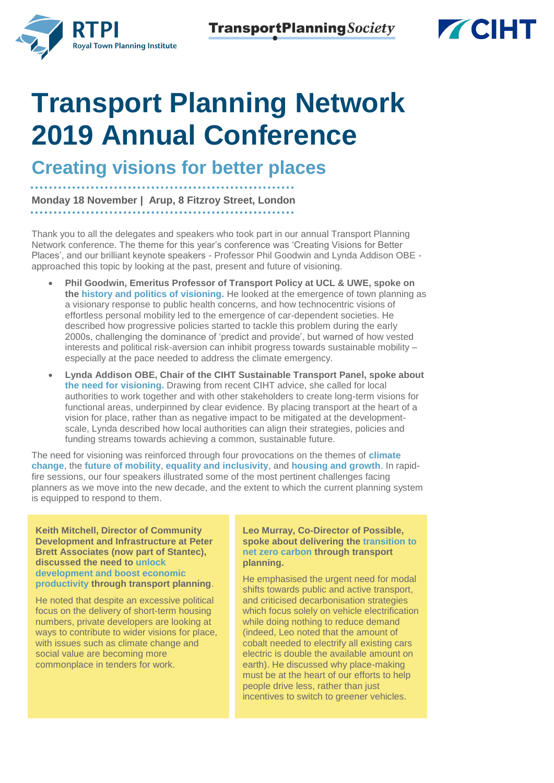



# **Transport Planning Network 2019 Annual Conference**

**Creating visions for better places**

**Monday 18 November | Arup, 8 Fitzroy Street, London**

Thank you to all the delegates and speakers who took part in our annual Transport Planning Network conference. The theme for this year's conference was 'Creating Visions for Better Places', and our brilliant keynote speakers - Professor Phil Goodwin and Lynda Addison OBE approached this topic by looking at the past, present and future of visioning.

- **Phil Goodwin, Emeritus Professor of Transport Policy at UCL & UWE, spoke on the history and politics of visioning.** He looked at the emergence of town planning as a visionary response to public health concerns, and how technocentric visions of effortless personal mobility led to the emergence of car-dependent societies. He described how progressive policies started to tackle this problem during the early 2000s, challenging the dominance of 'predict and provide', but warned of how vested interests and political risk-aversion can inhibit progress towards sustainable mobility – especially at the pace needed to address the climate emergency.
- **Lynda Addison OBE, Chair of the CIHT Sustainable Transport Panel, spoke about the need for visioning.** Drawing from recent CIHT advice, she called for local authorities to work together and with other stakeholders to create long-term visions for functional areas, underpinned by clear evidence. By placing transport at the heart of a vision for place, rather than as negative impact to be mitigated at the developmentscale, Lynda described how local authorities can align their strategies, policies and funding streams towards achieving a common, sustainable future.

The need for visioning was reinforced through four provocations on the themes of **climate change**, the **future of mobility**, **equality and inclusivity**, and **housing and growth**. In rapidfire sessions, our four speakers illustrated some of the most pertinent challenges facing planners as we move into the new decade, and the extent to which the current planning system is equipped to respond to them.

**Keith Mitchell, Director of Community Development and Infrastructure at Peter Brett Associates (now part of Stantec), discussed the need to unlock development and boost economic productivity through transport planning**.

He noted that despite an excessive political focus on the delivery of short-term housing numbers, private developers are looking at ways to contribute to wider visions for place, with issues such as climate change and social value are becoming more commonplace in tenders for work.

**Leo Murray, Co-Director of Possible, spoke about delivering the transition to net zero carbon through transport planning.** 

He emphasised the urgent need for modal shifts towards public and active transport, and criticised decarbonisation strategies which focus solely on vehicle electrification while doing nothing to reduce demand (indeed, Leo noted that the amount of cobalt needed to electrify all existing cars electric is double the available amount on earth). He discussed why place-making must be at the heart of our efforts to help people drive less, rather than just incentives to switch to greener vehicles.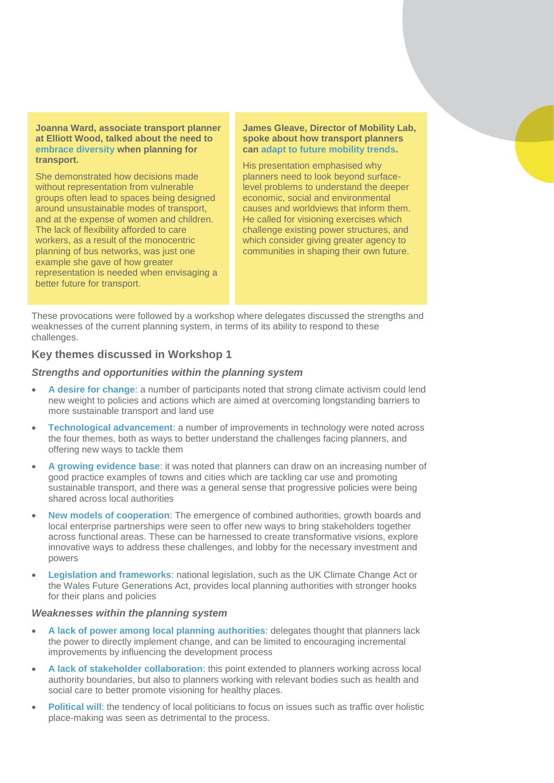**Joanna Ward, associate transport planner at Elliott Wood, talked about the need to embrace diversity when planning for transport.** 

She demonstrated how decisions made without representation from vulnerable groups often lead to spaces being designed around unsustainable modes of transport, and at the expense of women and children. The lack of flexibility afforded to care workers, as a result of the monocentric planning of bus networks, was just one example she gave of how greater representation is needed when envisaging a better future for transport.

### **James Gleave, Director of Mobility Lab, spoke about how transport planners can adapt to future mobility trends.**

His presentation emphasised why planners need to look beyond surfacelevel problems to understand the deeper economic, social and environmental causes and worldviews that inform them. He called for visioning exercises which challenge existing power structures, and which consider giving greater agency to communities in shaping their own future.

These provocations were followed by a workshop where delegates discussed the strengths and weaknesses of the current planning system, in terms of its ability to respond to these challenges.

# **Key themes discussed in Workshop 1**

## *Strengths and opportunities within the planning system*

- **A desire for change**: a number of participants noted that strong climate activism could lend new weight to policies and actions which are aimed at overcoming longstanding barriers to more sustainable transport and land use
- **Technological advancement**: a number of improvements in technology were noted across the four themes, both as ways to better understand the challenges facing planners, and offering new ways to tackle them
- **A growing evidence base**: it was noted that planners can draw on an increasing number of good practice examples of towns and cities which are tackling car use and promoting sustainable transport, and there was a general sense that progressive policies were being shared across local authorities
- **New models of cooperation**: The emergence of combined authorities, growth boards and local enterprise partnerships were seen to offer new ways to bring stakeholders together across functional areas. These can be harnessed to create transformative visions, explore innovative ways to address these challenges, and lobby for the necessary investment and powers
- **Legislation and frameworks**: national legislation, such as the UK Climate Change Act or the Wales Future Generations Act, provides local planning authorities with stronger hooks for their plans and policies

#### *Weaknesses within the planning system*

- **A lack of power among local planning authorities**: delegates thought that planners lack the power to directly implement change, and can be limited to encouraging incremental improvements by influencing the development process
- **A lack of stakeholder collaboration**: this point extended to planners working across local authority boundaries, but also to planners working with relevant bodies such as health and social care to better promote visioning for healthy places.
- **Political will**: the tendency of local politicians to focus on issues such as traffic over holistic place-making was seen as detrimental to the process.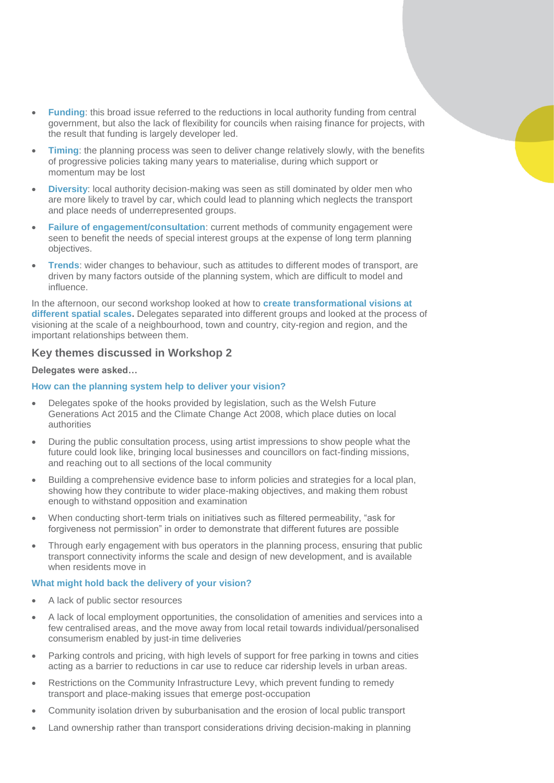- **Funding**: this broad issue referred to the reductions in local authority funding from central government, but also the lack of flexibility for councils when raising finance for projects, with the result that funding is largely developer led.
- **Timing**: the planning process was seen to deliver change relatively slowly, with the benefits of progressive policies taking many years to materialise, during which support or momentum may be lost
- **Diversity**: local authority decision-making was seen as still dominated by older men who are more likely to travel by car, which could lead to planning which neglects the transport and place needs of underrepresented groups.
- **Failure of engagement/consultation**: current methods of community engagement were seen to benefit the needs of special interest groups at the expense of long term planning objectives.
- **Trends**: wider changes to behaviour, such as attitudes to different modes of transport, are driven by many factors outside of the planning system, which are difficult to model and influence.

In the afternoon, our second workshop looked at how to **create transformational visions at different spatial scales.** Delegates separated into different groups and looked at the process of visioning at the scale of a neighbourhood, town and country, city-region and region, and the important relationships between them.

# **Key themes discussed in Workshop 2**

## **Delegates were asked…**

### **How can the planning system help to deliver your vision?**

- Delegates spoke of the hooks provided by legislation, such as the Welsh Future Generations Act 2015 and the Climate Change Act 2008, which place duties on local authorities
- During the public consultation process, using artist impressions to show people what the future could look like, bringing local businesses and councillors on fact-finding missions, and reaching out to all sections of the local community
- Building a comprehensive evidence base to inform policies and strategies for a local plan, showing how they contribute to wider place-making objectives, and making them robust enough to withstand opposition and examination
- When conducting short-term trials on initiatives such as filtered permeability, "ask for forgiveness not permission" in order to demonstrate that different futures are possible
- Through early engagement with bus operators in the planning process, ensuring that public transport connectivity informs the scale and design of new development, and is available when residents move in

#### **What might hold back the delivery of your vision?**

- A lack of public sector resources
- A lack of local employment opportunities, the consolidation of amenities and services into a few centralised areas, and the move away from local retail towards individual/personalised consumerism enabled by just-in time deliveries
- Parking controls and pricing, with high levels of support for free parking in towns and cities acting as a barrier to reductions in car use to reduce car ridership levels in urban areas.
- Restrictions on the Community Infrastructure Levy, which prevent funding to remedy transport and place-making issues that emerge post-occupation
- Community isolation driven by suburbanisation and the erosion of local public transport
- Land ownership rather than transport considerations driving decision-making in planning